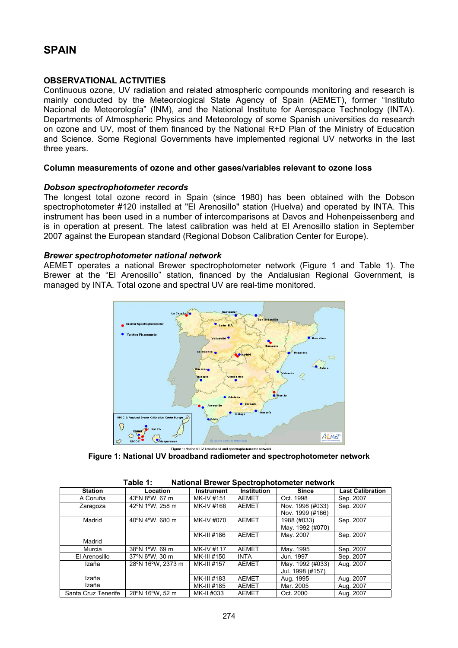# **SPAIN**

### **OBSERVATIONAL ACTIVITIES**

Continuous ozone, UV radiation and related atmospheric compounds monitoring and research is mainly conducted by the Meteorological State Agency of Spain (AEMET), former "Instituto Nacional de Meteorología" (INM), and the National Institute for Aerospace Technology (INTA). Departments of Atmospheric Physics and Meteorology of some Spanish universities do research on ozone and UV, most of them financed by the National R+D Plan of the Ministry of Education and Science. Some Regional Governments have implemented regional UV networks in the last three years.

#### **Column measurements of ozone and other gases/variables relevant to ozone loss**

#### *Dobson spectrophotometer records*

The longest total ozone record in Spain (since 1980) has been obtained with the Dobson spectrophotometer #120 installed at "El Arenosillo" station (Huelva) and operated by INTA. This instrument has been used in a number of intercomparisons at Davos and Hohenpeissenberg and is in operation at present. The latest calibration was held at El Arenosillo station in September 2007 against the European standard (Regional Dobson Calibration Center for Europe).

#### *Brewer spectrophotometer national network*

AEMET operates a national Brewer spectrophotometer network (Figure 1 and Table 1). The Brewer at the "El Arenosillo" station, financed by the Andalusian Regional Government, is managed by INTA. Total ozone and spectral UV are real-time monitored.



**Figure 1: National UV broadband radiometer and spectrophotometer network** 

| <b>Station</b>      | Location          | <b>Instrument</b> | <b>Institution</b> | <b>Since</b>                         | <b>Last Calibration</b> |
|---------------------|-------------------|-------------------|--------------------|--------------------------------------|-------------------------|
| A Coruña            | 43°N 8°W, 67 m    | MK-IV #151        | AEMET              | Oct. 1998                            | Sep. 2007               |
| Zaragoza            | 42°N 1°W, 258 m   | MK-IV #166        | AEMET              | Nov. 1998 (#033)<br>Nov. 1999 (#166) | Sep. 2007               |
| Madrid              | 40°N 4°W, 680 m   | MK-IV #070        | <b>AEMET</b>       | 1988 (#033)<br>May. 1992 (#070)      | Sep. 2007               |
| Madrid              |                   | MK-III #186       | <b>AEMET</b>       | May. 2007                            | Sep. 2007               |
| Murcia              | 38°N 1°W, 69 m    | MK-IV #117        | <b>AEMET</b>       | May. 1995                            | Sep. 2007               |
| El Arenosillo       | 37°N 6°W, 30 m    | MK-III #150       | <b>INTA</b>        | Jun. 1997                            | Sep. 2007               |
| Izaña               | 28°N 16°W, 2373 m | MK-III #157       | <b>AEMET</b>       | May. 1992 (#033)<br>Jul. 1998 (#157) | Aug. 2007               |
| Izaña               |                   | MK-III #183       | <b>AEMET</b>       | Aug. 1995                            | Aug. 2007               |
| Izaña               |                   | MK-III #185       | <b>AEMET</b>       | Mar. 2005                            | Aug. 2007               |
| Santa Cruz Tenerife | 28°N 16°W, 52 m   | MK-II #033        | <b>AEMET</b>       | Oct. 2000                            | Aug. 2007               |

| Table 1: |  | <b>National Brewer Spectrophotometer network</b> |  |
|----------|--|--------------------------------------------------|--|
|          |  |                                                  |  |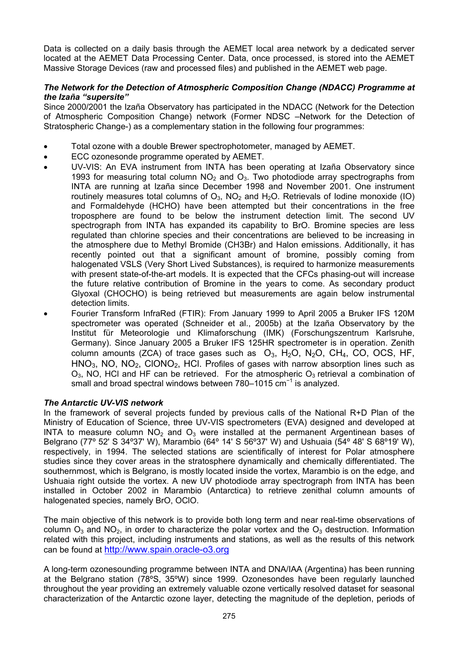Data is collected on a daily basis through the AEMET local area network by a dedicated server located at the AEMET Data Processing Center. Data, once processed, is stored into the AEMET Massive Storage Devices (raw and processed files) and published in the AEMET web page.

## *The Network for the Detection of Atmospheric Composition Change (NDACC) Programme at the Izaña "supersite"*

Since 2000/2001 the Izaña Observatory has participated in the NDACC (Network for the Detection of Atmospheric Composition Change) network (Former NDSC –Network for the Detection of Stratospheric Change-) as a complementary station in the following four programmes:

- Total ozone with a double Brewer spectrophotometer, managed by AEMET.
- ECC ozonesonde programme operated by AEMET.
- UV-VIS: An EVA instrument from INTA has been operating at Izaña Observatory since 1993 for measuring total column  $NO<sub>2</sub>$  and  $O<sub>3</sub>$ . Two photodiode array spectrographs from INTA are running at Izaña since December 1998 and November 2001. One instrument routinely measures total columns of  $O_3$ , NO<sub>2</sub> and H<sub>2</sub>O. Retrievals of Iodine monoxide (IO) and Formaldehyde (HCHO) have been attempted but their concentrations in the free troposphere are found to be below the instrument detection limit. The second UV spectrograph from INTA has expanded its capability to BrO. Bromine species are less regulated than chlorine species and their concentrations are believed to be increasing in the atmosphere due to Methyl Bromide (CH3Br) and Halon emissions. Additionally, it has recently pointed out that a significant amount of bromine, possibly coming from halogenated VSLS (Very Short Lived Substances), is required to harmonize measurements with present state-of-the-art models. It is expected that the CFCs phasing-out will increase the future relative contribution of Bromine in the years to come. As secondary product Glyoxal (CHOCHO) is being retrieved but measurements are again below instrumental detection limits.
- Fourier Transform InfraRed (FTIR): From January 1999 to April 2005 a Bruker IFS 120M spectrometer was operated (Schneider et al., 2005b) at the Izaña Observatory by the Institut für Meteorologie und Klimaforschung (IMK) (Forschungszentrum Karlsruhe, Germany). Since January 2005 a Bruker IFS 125HR spectrometer is in operation. Zenith column amounts (ZCA) of trace gases such as  $O_3$ , H<sub>2</sub>O, N<sub>2</sub>O, CH<sub>4</sub>, CO, OCS, HF,  $HNO<sub>3</sub>$ , NO, NO<sub>2</sub>, CIONO<sub>2</sub>, HCI. Profiles of gases with narrow absorption lines such as  $O_3$ , NO, HCI and HF can be retrieved. For the atmospheric  $O_3$  retrieval a combination of small and broad spectral windows between 780–1015 cm<sup>-1</sup> is analyzed.

## *The Antarctic UV-VIS network*

In the framework of several projects funded by previous calls of the National R+D Plan of the Ministry of Education of Science, three UV-VIS spectrometers (EVA) designed and developed at INTA to measure column  $NO<sub>2</sub>$  and  $O<sub>3</sub>$  were installed at the permanent Argentinean bases of Belgrano (77º 52' S 34º37' W), Marambio (64º 14' S 56º37' W) and Ushuaia (54º 48' S 68º19' W), respectively, in 1994. The selected stations are scientifically of interest for Polar atmosphere studies since they cover areas in the stratosphere dynamically and chemically differentiated. The southernmost, which is Belgrano, is mostly located inside the vortex, Marambio is on the edge, and Ushuaia right outside the vortex. A new UV photodiode array spectrograph from INTA has been installed in October 2002 in Marambio (Antarctica) to retrieve zenithal column amounts of halogenated species, namely BrO, OClO.

The main objective of this network is to provide both long term and near real-time observations of column  $O_3$  and  $NO_2$ , in order to characterize the polar vortex and the  $O_3$  destruction. Information related with this project, including instruments and stations, as well as the results of this network can be found at [http://www.spain.oracle-o3.org](http://www.spain.oracle-o3.org/)

A long-term ozonesounding programme between INTA and DNA/IAA (Argentina) has been running at the Belgrano station (78ºS, 35ºW) since 1999. Ozonesondes have been regularly launched throughout the year providing an extremely valuable ozone vertically resolved dataset for seasonal characterization of the Antarctic ozone layer, detecting the magnitude of the depletion, periods of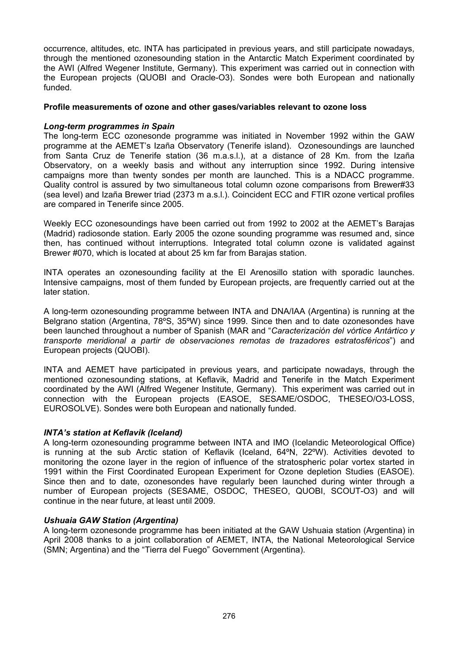occurrence, altitudes, etc. INTA has participated in previous years, and still participate nowadays, through the mentioned ozonesounding station in the Antarctic Match Experiment coordinated by the AWI (Alfred Wegener Institute, Germany). This experiment was carried out in connection with the European projects (QUOBI and Oracle-O3). Sondes were both European and nationally funded.

### **Profile measurements of ozone and other gases/variables relevant to ozone loss**

### *Long-term programmes in Spain*

The long-term ECC ozonesonde programme was initiated in November 1992 within the GAW programme at the AEMET's Izaña Observatory (Tenerife island). Ozonesoundings are launched from Santa Cruz de Tenerife station (36 m.a.s.l.), at a distance of 28 Km. from the Izaña Observatory, on a weekly basis and without any interruption since 1992. During intensive campaigns more than twenty sondes per month are launched. This is a NDACC programme. Quality control is assured by two simultaneous total column ozone comparisons from Brewer#33 (sea level) and Izaña Brewer triad (2373 m a.s.l.). Coincident ECC and FTIR ozone vertical profiles are compared in Tenerife since 2005.

Weekly ECC ozonesoundings have been carried out from 1992 to 2002 at the AEMET's Barajas (Madrid) radiosonde station. Early 2005 the ozone sounding programme was resumed and, since then, has continued without interruptions. Integrated total column ozone is validated against Brewer #070, which is located at about 25 km far from Barajas station.

INTA operates an ozonesounding facility at the El Arenosillo station with sporadic launches. Intensive campaigns, most of them funded by European projects, are frequently carried out at the later station.

A long-term ozonesounding programme between INTA and DNA/IAA (Argentina) is running at the Belgrano station (Argentina, 78ºS, 35ºW) since 1999. Since then and to date ozonesondes have been launched throughout a number of Spanish (MAR and "*Caracterización del vórtice Antártico y transporte meridional a partir de observaciones remotas de trazadores estratosféricos*") and European projects (QUOBI).

INTA and AEMET have participated in previous years, and participate nowadays, through the mentioned ozonesounding stations, at Keflavik, Madrid and Tenerife in the Match Experiment coordinated by the AWI (Alfred Wegener Institute, Germany). This experiment was carried out in connection with the European projects (EASOE, SESAME/OSDOC, THESEO/O3-LOSS, EUROSOLVE). Sondes were both European and nationally funded.

#### *INTA's station at Keflavik (Iceland)*

A long-term ozonesounding programme between INTA and IMO (Icelandic Meteorological Office) is running at the sub Arctic station of Keflavik (Iceland, 64ºN, 22ºW). Activities devoted to monitoring the ozone layer in the region of influence of the stratospheric polar vortex started in 1991 within the First Coordinated European Experiment for Ozone depletion Studies (EASOE). Since then and to date, ozonesondes have regularly been launched during winter through a number of European projects (SESAME, OSDOC, THESEO, QUOBI, SCOUT-O3) and will continue in the near future, at least until 2009.

## *Ushuaia GAW Station (Argentina)*

A long-term ozonesonde programme has been initiated at the GAW Ushuaia station (Argentina) in April 2008 thanks to a joint collaboration of AEMET, INTA, the National Meteorological Service (SMN; Argentina) and the "Tierra del Fuego" Government (Argentina).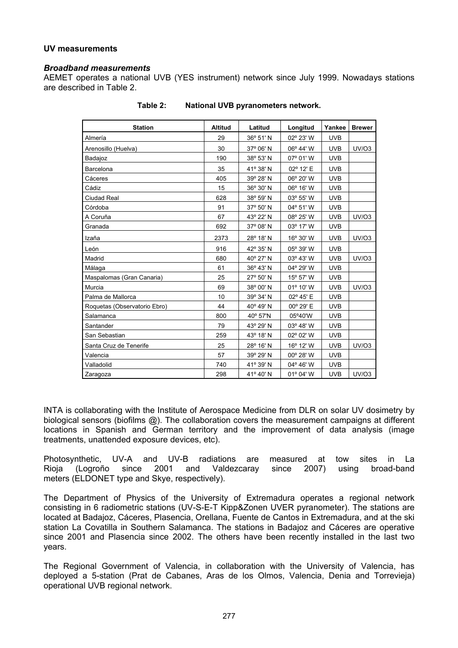## **UV measurements**

#### *Broadband measurements*

AEMET operates a national UVB (YES instrument) network since July 1999. Nowadays stations are described in Table 2.

| <b>Station</b>               | <b>Altitud</b> | Latitud   | Longitud  | Yankee     | <b>Brewer</b> |
|------------------------------|----------------|-----------|-----------|------------|---------------|
| Almería                      | 29             | 36° 51' N | 02° 23' W | <b>UVB</b> |               |
| Arenosillo (Huelva)          | 30             | 37° 06' N | 06° 44' W | <b>UVB</b> | <b>UV/03</b>  |
| Badajoz                      | 190            | 38° 53' N | 07° 01' W | <b>UVB</b> |               |
| Barcelona                    | 35             | 41° 38' N | 02° 12' E | <b>UVB</b> |               |
| Cáceres                      | 405            | 39° 28' N | 06° 20' W | <b>UVB</b> |               |
| Cádiz                        | 15             | 36° 30' N | 06° 16' W | <b>UVB</b> |               |
| Ciudad Real                  | 628            | 38° 59' N | 03° 55' W | <b>UVB</b> |               |
| Córdoba                      | 91             | 37° 50' N | 04° 51' W | <b>UVB</b> |               |
| A Coruña                     | 67             | 43° 22' N | 08° 25' W | <b>UVB</b> | <b>UV/03</b>  |
| Granada                      | 692            | 37° 08' N | 03° 17' W | <b>UVB</b> |               |
| Izaña                        | 2373           | 28° 18' N | 16° 30' W | <b>UVB</b> | <b>UV/03</b>  |
| León                         | 916            | 42° 35' N | 05° 39' W | <b>UVB</b> |               |
| Madrid                       | 680            | 40° 27' N | 03° 43' W | <b>UVB</b> | <b>UV/03</b>  |
| Málaga                       | 61             | 36° 43' N | 04° 29' W | <b>UVB</b> |               |
| Maspalomas (Gran Canaria)    | 25             | 27° 50' N | 15° 57' W | <b>UVB</b> |               |
| Murcia                       | 69             | 38° 00' N | 01° 10' W | <b>UVB</b> | <b>UV/03</b>  |
| Palma de Mallorca            | 10             | 39° 34' N | 02° 45' E | <b>UVB</b> |               |
| Roquetas (Observatorio Ebro) | 44             | 40° 49' N | 00° 29' E | <b>UVB</b> |               |
| Salamanca                    | 800            | 40° 57'N  | 05°40'W   | <b>UVB</b> |               |
| Santander                    | 79             | 43° 29' N | 03° 48' W | <b>UVB</b> |               |
| San Sebastian                | 259            | 43° 18' N | 02° 02' W | <b>UVB</b> |               |
| Santa Cruz de Tenerife       | 25             | 28° 16' N | 16° 12' W | <b>UVB</b> | UV/O3         |
| Valencia                     | 57             | 39° 29' N | 00° 28' W | <b>UVB</b> |               |
| Valladolid                   | 740            | 41° 39' N | 04° 46' W | <b>UVB</b> |               |
| Zaragoza                     | 298            | 41° 40' N | 01° 04' W | <b>UVB</b> | <b>UV/03</b>  |

**Table 2: National UVB pyranometers network.** 

INTA is collaborating with the Institute of Aerospace Medicine from DLR on solar UV dosimetry by biological sensors (biofilms @). The collaboration covers the measurement campaigns at different locations in Spanish and German territory and the improvement of data analysis (image treatments, unattended exposure devices, etc).

Photosynthetic, UV-A and UV-B radiations are measured at tow sites in La Rioja (Logroño since 2001 and Valdezcaray since 2007) using broad-band meters (ELDONET type and Skye, respectively).

The Department of Physics of the University of Extremadura operates a regional network consisting in 6 radiometric stations (UV-S-E-T Kipp&Zonen UVER pyranometer). The stations are located at Badajoz, Cáceres, Plasencia, Orellana, Fuente de Cantos in Extremadura, and at the ski station La Covatilla in Southern Salamanca. The stations in Badajoz and Cáceres are operative since 2001 and Plasencia since 2002. The others have been recently installed in the last two years.

The Regional Government of Valencia, in collaboration with the University of Valencia, has deployed a 5-station (Prat de Cabanes, Aras de los Olmos, Valencia, Denia and Torrevieja) operational UVB regional network.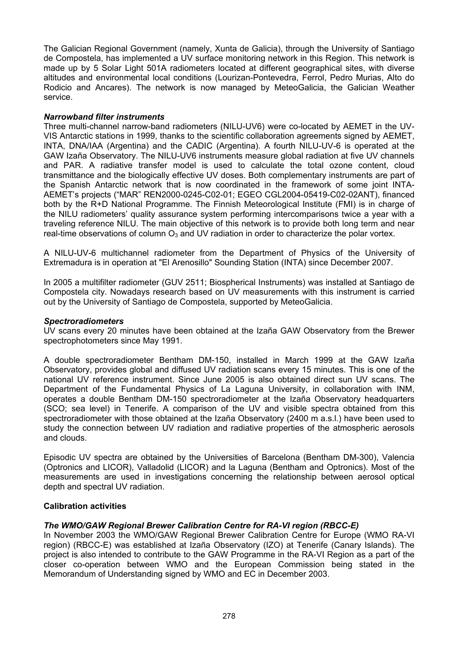The Galician Regional Government (namely, Xunta de Galicia), through the University of Santiago de Compostela, has implemented a UV surface monitoring network in this Region. This network is made up by 5 Solar Light 501A radiometers located at different geographical sites, with diverse altitudes and environmental local conditions (Lourizan-Pontevedra, Ferrol, Pedro Murias, Alto do Rodicio and Ancares). The network is now managed by MeteoGalicia, the Galician Weather service.

## *Narrowband filter instruments*

Three multi-channel narrow-band radiometers (NILU-UV6) were co-located by AEMET in the UV-VIS Antarctic stations in 1999, thanks to the scientific collaboration agreements signed by AEMET, INTA, DNA/IAA (Argentina) and the CADIC (Argentina). A fourth NILU-UV-6 is operated at the GAW Izaña Observatory. The NILU-UV6 instruments measure global radiation at five UV channels and PAR. A radiative transfer model is used to calculate the total ozone content, cloud transmittance and the biologically effective UV doses. Both complementary instruments are part of the Spanish Antarctic network that is now coordinated in the framework of some joint INTA-AEMET's projects ("MAR" REN2000-0245-C02-01; EGEO CGL2004-05419-C02-02ANT), financed both by the R+D National Programme. The Finnish Meteorological Institute (FMI) is in charge of the NILU radiometers' quality assurance system performing intercomparisons twice a year with a traveling reference NILU. The main objective of this network is to provide both long term and near real-time observations of column  $O_3$  and UV radiation in order to characterize the polar vortex.

A NILU-UV-6 multichannel radiometer from the Department of Physics of the University of Extremadura is in operation at "El Arenosillo" Sounding Station (INTA) since December 2007.

In 2005 a multifilter radiometer (GUV 2511; Biospherical Instruments) was installed at Santiago de Compostela city. Nowadays research based on UV measurements with this instrument is carried out by the University of Santiago de Compostela, supported by MeteoGalicia.

## *Spectroradiometers*

UV scans every 20 minutes have been obtained at the Izaña GAW Observatory from the Brewer spectrophotometers since May 1991.

A double spectroradiometer Bentham DM-150, installed in March 1999 at the GAW Izaña Observatory, provides global and diffused UV radiation scans every 15 minutes. This is one of the national UV reference instrument. Since June 2005 is also obtained direct sun UV scans. The Department of the Fundamental Physics of La Laguna University, in collaboration with INM, operates a double Bentham DM-150 spectroradiometer at the Izaña Observatory headquarters (SCO; sea level) in Tenerife. A comparison of the UV and visible spectra obtained from this spectroradiometer with those obtained at the Izaña Observatory (2400 m a.s.l.) have been used to study the connection between UV radiation and radiative properties of the atmospheric aerosols and clouds.

Episodic UV spectra are obtained by the Universities of Barcelona (Bentham DM-300), Valencia (Optronics and LICOR), Valladolid (LICOR) and la Laguna (Bentham and Optronics). Most of the measurements are used in investigations concerning the relationship between aerosol optical depth and spectral UV radiation.

## **Calibration activities**

## *The WMO/GAW Regional Brewer Calibration Centre for RA-VI region (RBCC-E)*

In November 2003 the WMO/GAW Regional Brewer Calibration Centre for Europe (WMO RA-VI region) (RBCC-E) was established at Izaña Observatory (IZO) at Tenerife (Canary Islands). The project is also intended to contribute to the GAW Programme in the RA-VI Region as a part of the closer co-operation between WMO and the European Commission being stated in the Memorandum of Understanding signed by WMO and EC in December 2003.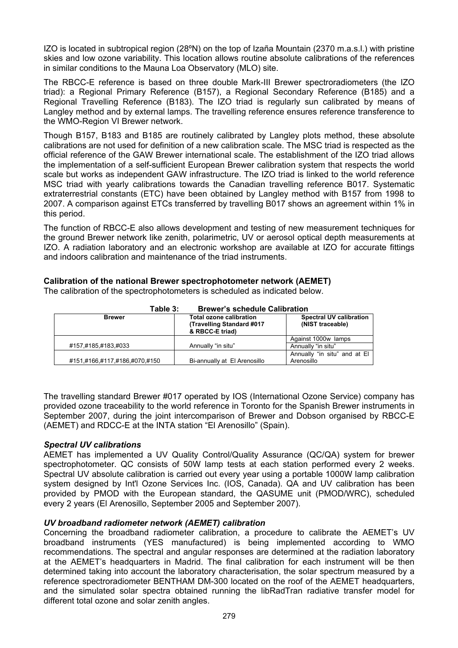IZO is located in subtropical region (28ºN) on the top of Izaña Mountain (2370 m.a.s.l.) with pristine skies and low ozone variability. This location allows routine absolute calibrations of the references in similar conditions to the Mauna Loa Observatory (MLO) site.

The RBCC-E reference is based on three double Mark-III Brewer spectroradiometers (the IZO triad): a Regional Primary Reference (B157), a Regional Secondary Reference (B185) and a Regional Travelling Reference (B183). The IZO triad is regularly sun calibrated by means of Langley method and by external lamps. The travelling reference ensures reference transference to the WMO-Region VI Brewer network.

Though B157, B183 and B185 are routinely calibrated by Langley plots method, these absolute calibrations are not used for definition of a new calibration scale. The MSC triad is respected as the official reference of the GAW Brewer international scale. The establishment of the IZO triad allows the implementation of a self-sufficient European Brewer calibration system that respects the world scale but works as independent GAW infrastructure. The IZO triad is linked to the world reference MSC triad with yearly calibrations towards the Canadian travelling reference B017. Systematic extraterrestrial constants (ETC) have been obtained by Langley method with B157 from 1998 to 2007. A comparison against ETCs transferred by travelling B017 shows an agreement within 1% in this period.

The function of RBCC-E also allows development and testing of new measurement techniques for the ground Brewer network like zenith, polarimetric, UV or aerosol optical depth measurements at IZO. A radiation laboratory and an electronic workshop are available at IZO for accurate fittings and indoors calibration and maintenance of the triad instruments.

## **Calibration of the national Brewer spectrophotometer network (AEMET)**

The calibration of the spectrophotometers is scheduled as indicated below.

| .                             |                                                                          |                                                    |
|-------------------------------|--------------------------------------------------------------------------|----------------------------------------------------|
| <b>Brewer</b>                 | Total ozone calibration<br>(Travelling Standard #017)<br>& RBCC-E triad) | <b>Spectral UV calibration</b><br>(NIST traceable) |
|                               |                                                                          | Against 1000w lamps                                |
| #157,#185,#183,#033           | Annually "in situ"                                                       | Annually "in situ"                                 |
| #151,#166,#117,#186,#070,#150 | Bi-annually at El Arenosillo                                             | Annually "in situ" and at El<br>Arenosillo         |

**Table 3: Brewer's schedule Calibration**

The travelling standard Brewer #017 operated by IOS (International Ozone Service) company has provided ozone traceability to the world reference in Toronto for the Spanish Brewer instruments in September 2007, during the joint intercomparison of Brewer and Dobson organised by RBCC-E (AEMET) and RDCC-E at the INTA station "El Arenosillo" (Spain).

## *Spectral UV calibrations*

AEMET has implemented a UV Quality Control/Quality Assurance (QC/QA) system for brewer spectrophotometer. QC consists of 50W lamp tests at each station performed every 2 weeks. Spectral UV absolute calibration is carried out every year using a portable 1000W lamp calibration system designed by Int'l Ozone Services Inc. (IOS, Canada). QA and UV calibration has been provided by PMOD with the European standard, the QASUME unit (PMOD/WRC), scheduled every 2 years (El Arenosillo, September 2005 and September 2007).

## *UV broadband radiometer network (AEMET) calibration*

Concerning the broadband radiometer calibration, a procedure to calibrate the AEMET's UV broadband instruments (YES manufactured) is being implemented according to WMO recommendations. The spectral and angular responses are determined at the radiation laboratory at the AEMET's headquarters in Madrid. The final calibration for each instrument will be then determined taking into account the laboratory characterisation, the solar spectrum measured by a reference spectroradiometer BENTHAM DM-300 located on the roof of the AEMET headquarters, and the simulated solar spectra obtained running the libRadTran radiative transfer model for different total ozone and solar zenith angles.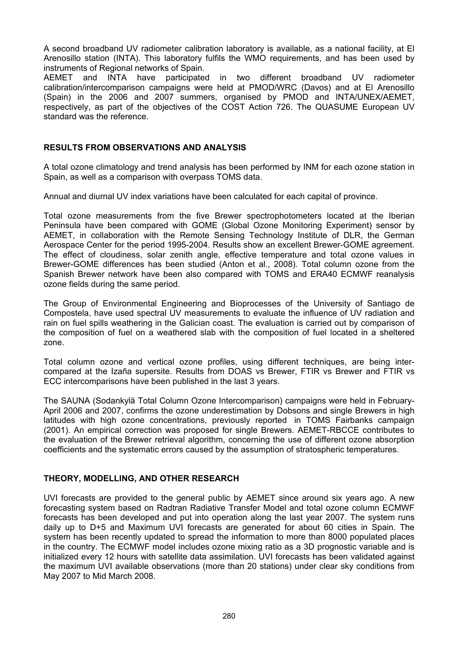A second broadband UV radiometer calibration laboratory is available, as a national facility, at El Arenosillo station (INTA). This laboratory fulfils the WMO requirements, and has been used by instruments of Regional networks of Spain.

AEMET and INTA have participated in two different broadband UV radiometer calibration/intercomparison campaigns were held at PMOD/WRC (Davos) and at El Arenosillo (Spain) in the 2006 and 2007 summers, organised by PMOD and INTA/UNEX/AEMET, respectively, as part of the objectives of the COST Action 726. The QUASUME European UV standard was the reference.

## **RESULTS FROM OBSERVATIONS AND ANALYSIS**

A total ozone climatology and trend analysis has been performed by INM for each ozone station in Spain, as well as a comparison with overpass TOMS data.

Annual and diurnal UV index variations have been calculated for each capital of province.

Total ozone measurements from the five Brewer spectrophotometers located at the Iberian Peninsula have been compared with GOME (Global Ozone Monitoring Experiment) sensor by AEMET, in collaboration with the Remote Sensing Technology Institute of DLR, the German Aerospace Center for the period 1995-2004. Results show an excellent Brewer-GOME agreement. The effect of cloudiness, solar zenith angle, effective temperature and total ozone values in Brewer-GOME differences has been studied (Anton et al., 2008). Total column ozone from the Spanish Brewer network have been also compared with TOMS and ERA40 ECMWF reanalysis ozone fields during the same period.

The Group of Environmental Engineering and Bioprocesses of the University of Santiago de Compostela, have used spectral UV measurements to evaluate the influence of UV radiation and rain on fuel spills weathering in the Galician coast. The evaluation is carried out by comparison of the composition of fuel on a weathered slab with the composition of fuel located in a sheltered zone.

Total column ozone and vertical ozone profiles, using different techniques, are being intercompared at the Izaña supersite. Results from DOAS vs Brewer, FTIR vs Brewer and FTIR vs ECC intercomparisons have been published in the last 3 years.

The SAUNA (Sodankylä Total Column Ozone Intercomparison) campaigns were held in February-April 2006 and 2007, confirms the ozone underestimation by Dobsons and single Brewers in high latitudes with high ozone concentrations, previously reported in TOMS Fairbanks campaign (2001). An empirical correction was proposed for single Brewers. AEMET-RBCCE contributes to the evaluation of the Brewer retrieval algorithm, concerning the use of different ozone absorption coefficients and the systematic errors caused by the assumption of stratospheric temperatures.

## **THEORY, MODELLING, AND OTHER RESEARCH**

UVI forecasts are provided to the general public by AEMET since around six years ago. A new forecasting system based on Radtran Radiative Transfer Model and total ozone column ECMWF forecasts has been developed and put into operation along the last year 2007. The system runs daily up to D+5 and Maximum UVI forecasts are generated for about 60 cities in Spain. The system has been recently updated to spread the information to more than 8000 populated places in the country. The ECMWF model includes ozone mixing ratio as a 3D prognostic variable and is initialized every 12 hours with satellite data assimilation. UVI forecasts has been validated against the maximum UVI available observations (more than 20 stations) under clear sky conditions from May 2007 to Mid March 2008.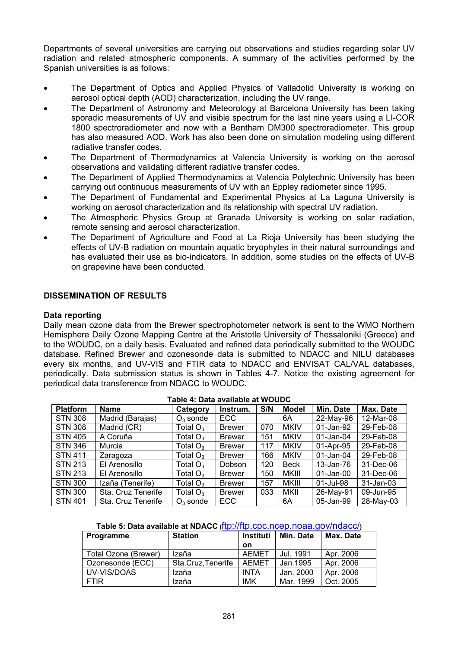Departments of several universities are carrying out observations and studies regarding solar UV radiation and related atmospheric components. A summary of the activities performed by the Spanish universities is as follows:

- The Department of Optics and Applied Physics of Valladolid University is working on aerosol optical depth (AOD) characterization, including the UV range.
- The Department of Astronomy and Meteorology at Barcelona University has been taking sporadic measurements of UV and visible spectrum for the last nine years using a LI-COR 1800 spectroradiometer and now with a Bentham DM300 spectroradiometer. This group has also measured AOD. Work has also been done on simulation modeling using different radiative transfer codes.
- The Department of Thermodynamics at Valencia University is working on the aerosol observations and validating different radiative transfer codes.
- The Department of Applied Thermodynamics at Valencia Polytechnic University has been carrying out continuous measurements of UV with an Eppley radiometer since 1995.
- The Department of Fundamental and Experimental Physics at La Laguna University is working on aerosol characterization and its relationship with spectral UV radiation.
- The Atmospheric Physics Group at Granada University is working on solar radiation, remote sensing and aerosol characterization.
- The Department of Agriculture and Food at La Rioja University has been studying the effects of UV-B radiation on mountain aquatic bryophytes in their natural surroundings and has evaluated their use as bio-indicators. In addition, some studies on the effects of UV-B on grapevine have been conducted.

### **DISSEMINATION OF RESULTS**

#### **Data reporting**

Daily mean ozone data from the Brewer spectrophotometer network is sent to the WMO Northern Hemisphere Daily Ozone Mapping Centre at the Aristotle University of Thessaloniki (Greece) and to the WOUDC, on a daily basis. Evaluated and refined data periodically submitted to the WOUDC database. Refined Brewer and ozonesonde data is submitted to NDACC and NILU databases every six months, and UV-VIS and FTIR data to NDACC and ENVISAT CAL/VAL databases, periodically. Data submission status is shown in Tables 4-7. Notice the existing agreement for periodical data transference from NDACC to WOUDC.

| <b>Platform</b> | <b>Name</b>        | Category    | Instrum.      | S/N | <b>Model</b> | Min. Date       | Max. Date    |
|-----------------|--------------------|-------------|---------------|-----|--------------|-----------------|--------------|
| <b>STN 308</b>  | Madrid (Barajas)   | $O_3$ sonde | <b>ECC</b>    |     | 6A           | 22-May-96       | 12-Mar-08    |
| <b>STN 308</b>  | Madrid (CR)        | Total $O_3$ | <b>Brewer</b> | 070 | <b>MKIV</b>  | 01-Jan-92       | 29-Feb-08    |
| <b>STN 405</b>  | A Coruña           | Total $O_3$ | <b>Brewer</b> | 151 | <b>MKIV</b>  | 01-Jan-04       | 29-Feb-08    |
| <b>STN 346</b>  | Murcia             | Total $O_3$ | <b>Brewer</b> | 117 | <b>MKIV</b>  | 01-Apr-95       | 29-Feb-08    |
| <b>STN 411</b>  | Zaragoza           | Total $O_3$ | <b>Brewer</b> | 166 | <b>MKIV</b>  | $01$ -Jan- $04$ | 29-Feb-08    |
| <b>STN 213</b>  | El Arenosillo      | Total $O_3$ | Dobson        | 120 | <b>Beck</b>  | 13-Jan-76       | 31-Dec-06    |
| <b>STN 213</b>  | El Arenosillo      | Total $O_3$ | <b>Brewer</b> | 150 | <b>MKIII</b> | 01-Jan-00       | 31-Dec-06    |
| <b>STN 300</b>  | Izaña (Tenerife)   | Total $O_3$ | <b>Brewer</b> | 157 | MKIII        | 01-Jul-98       | $31$ -Jan-03 |
| <b>STN 300</b>  | Sta. Cruz Tenerife | Total $O_3$ | <b>Brewer</b> | 033 | MKII         | 26-May-91       | 09-Jun-95    |
| <b>STN 401</b>  | Sta. Cruz Tenerife | $O_3$ sonde | ECC           |     | 6A           | 05-Jan-99       | 28-May-03    |

#### **Table 4: Data available at WOUDC**

| Table 5: Data available at NDACC (ftp://ftp.cpc.ncep.noaa.gov/ndacc/) |
|-----------------------------------------------------------------------|
|-----------------------------------------------------------------------|

| Programme            | <b>Station</b>     | <b>Instituti</b> | Min. Date | Max. Date |
|----------------------|--------------------|------------------|-----------|-----------|
|                      |                    | on               |           |           |
| Total Ozone (Brewer) | Izaña              | <b>AEMET</b>     | Jul. 1991 | Apr. 2006 |
| Ozonesonde (ECC)     | Sta.Cruz, Tenerife | <b>AEMET</b>     | Jan. 1995 | Apr. 2006 |
| UV-VIS/DOAS          | Izaña              | <b>INTA</b>      | Jan. 2000 | Apr. 2006 |
| <b>FTIR</b>          | Izaña              | <b>IMK</b>       | Mar. 1999 | Oct. 2005 |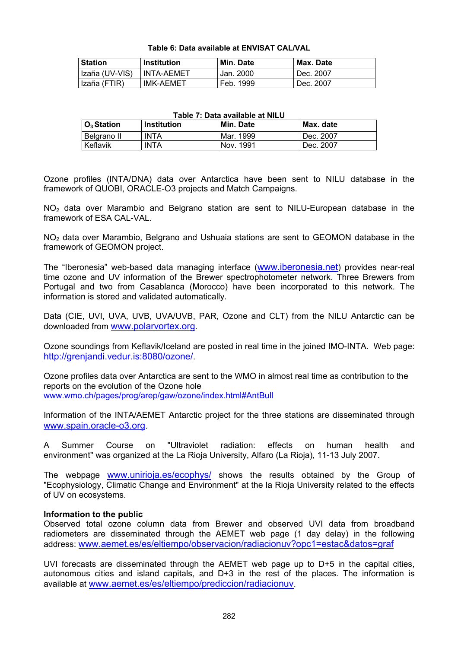| Table 6: Data available at ENVISAT CAL/VAL |  |  |  |
|--------------------------------------------|--|--|--|
|--------------------------------------------|--|--|--|

| <b>Station</b> | <b>Institution</b> | Min. Date | Max. Date |
|----------------|--------------------|-----------|-----------|
| Izaña (UV-VIS) | <b>INTA-AEMET</b>  | Jan. 2000 | Dec. 2007 |
| Izaña (FTIR)   | <b>IMK-AEMET</b>   | Feb. 1999 | Dec. 2007 |

#### **Table 7: Data available at NILU**

| $O_3$ Station | <b>Institution</b> | Min. Date | Max. date |
|---------------|--------------------|-----------|-----------|
| Belgrano II   | <b>INTA</b>        | Mar. 1999 | Dec. 2007 |
| Keflavik      | <b>INTA</b>        | Nov. 1991 | Dec. 2007 |

Ozone profiles (INTA/DNA) data over Antarctica have been sent to NILU database in the framework of QUOBI, ORACLE-O3 projects and Match Campaigns.

NO<sub>2</sub> data over Marambio and Belgrano station are sent to NILU-European database in the framework of ESA CAL-VAL.

NO<sub>2</sub> data over Marambio, Belgrano and Ushuaia stations are sent to GEOMON database in the framework of GEOMON project.

The "Iberonesia" web-based data managing interface [\(www.iberonesia.net](http://www.iberonesia.net/)) provides near-real time ozone and UV information of the Brewer spectrophotometer network. Three Brewers from Portugal and two from Casablanca (Morocco) have been incorporated to this network. The information is stored and validated automatically.

Data (CIE, UVI, UVA, UVB, UVA/UVB, PAR, Ozone and CLT) from the NILU Antarctic can be downloaded from [www.polarvortex.org.](http://www.polarvortex.org/)

Ozone soundings from Keflavik/Iceland are posted in real time in the joined IMO-INTA. Web page: [http://grenjandi.vedur.is:8080/ozone/.](http://grenjandi.vedur.is:8080/ozone/)

Ozone profiles data over Antarctica are sent to the WMO in almost real time as contribution to the reports on the evolution of the Ozone hole www.wmo.ch/pages/prog/arep/gaw/ozone/index.html#AntBull

Information of the INTA/AEMET Antarctic project for the three stations are disseminated through [www.spain.oracle-o3.org.](http://www.spain.oracle-o3.org/)

A Summer Course on "Ultraviolet radiation: effects on human health and environment" was organized at the La Rioja University, Alfaro (La Rioja), 11-13 July 2007.

The webpage [www.unirioja.es/ecophys/](http://www.unirioja.es/ecophys/) shows the results obtained by the Group of "Ecophysiology, Climatic Change and Environment" at the la Rioja University related to the effects of UV on ecosystems.

## **Information to the public**

Observed total ozone column data from Brewer and observed UVI data from broadband radiometers are disseminated through the AEMET web page (1 day delay) in the following address: [www.aemet.es/es/eltiempo/observacion/radiacionuv?opc1=estac&datos=graf](http://www.aemet.es/es/eltiempo/observacion/radiacionuv?opc1=estac&datos=graf)

UVI forecasts are disseminated through the AEMET web page up to  $D+5$  in the capital cities, autonomous cities and island capitals, and D+3 in the rest of the places. The information is available at [www.aemet.es/es/eltiempo/prediccion/radiacionuv](http://www.aemet.es/es/eltiempo/prediccion/radiacionuv).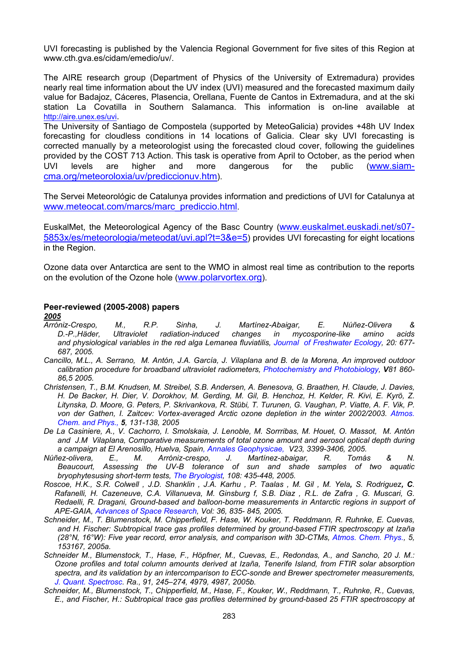UVI forecasting is published by the Valencia Regional Government for five sites of this Region at www.cth.gva.es/cidam/emedio/uv/.

The AIRE research group (Department of Physics of the University of Extremadura) provides nearly real time information about the UV index (UVI) measured and the forecasted maximum daily value for Badajoz, Cáceres, Plasencia, Orellana, Fuente de Cantos in Extremadura, and at the ski station La Covatilla in Southern Salamanca. This information is on-line available at [http://aire.unex.es/uvi.](http://aire.unex.es/uvi)

The University of Santiago de Compostela (supported by MeteoGalicia) provides +48h UV Index forecasting for cloudless conditions in 14 locations of Galicia. Clear sky UVI forecasting is corrected manually by a meteorologist using the forecasted cloud cover, following the guidelines provided by the COST 713 Action. This task is operative from April to October, as the period when UVI levels are higher and more dangerous for the public ([www.siam](http://www.siam-cma.org/meteoroloxia/uv/prediccionuv.htm)[cma.org/meteoroloxia/uv/prediccionuv.htm](http://www.siam-cma.org/meteoroloxia/uv/prediccionuv.htm)).

The Servei Meteorológic de Catalunya provides information and predictions of UVI for Catalunya at [www.meteocat.com/marcs/marc\\_prediccio.html](http://www.meteocat.com/marcs/marc_prediccio.html).

EuskalMet, the Meteorological Agency of the Basc Country [\(www.euskalmet.euskadi.net/s07-](http://www.euskalmet.euskadi.net/s07-5853x/es/meteorologia/meteodat/uvi.apl?t=3&e=5) [5853x/es/meteorologia/meteodat/uvi.apl?t=3&e=5\)](http://www.euskalmet.euskadi.net/s07-5853x/es/meteorologia/meteodat/uvi.apl?t=3&e=5) provides UVI forecasting for eight locations in the Region.

Ozone data over Antarctica are sent to the WMO in almost real time as contribution to the reports on the evolution of the Ozone hole [\(www.polarvortex.org](http://www.polarvortex.org/)).

### **Peer-reviewed (2005-2008) papers**

*2005*

- *Arróniz-Crespo, M., R.P. Sinha, J. Martínez-Abaigar, E. Núñez-Olivera & D.-P.,Häder, Ultraviolet radiation-induced changes in mycosporine-like amino acids and physiological variables in the red alga Lemanea fluviatilis, Journal of Freshwater Ecology, 20: 677- 687, 2005.*
- *Cancillo, M.L., A. Serrano, M. Antón, J.A. García, J. Vilaplana and B. de la Morena, An improved outdoor calibration procedure for broadband ultraviolet radiometers, Photochemistry and Photobiology, V81 860- 86,5 2005.*
- *Christensen, T., B.M. Knudsen, M. Streibel, S.B. Andersen, A. Benesova, G. Braathen, H. Claude, J. Davies, H. De Backer, H. Dier, V. Dorokhov, M. Gerding, M. Gil, B. Henchoz, H. Kelder, R. Kivi, E. Kyrö, Z. Litynska, D. Moore, G. Peters, P. Skrivankova, R. Stübi, T. Turunen, G. Vaughan, P. Viatte, A. F. Vik, P. von der Gathen, I. Zaitcev: Vortex-averaged Arctic ozone depletion in the winter 2002/2003. Atmos. Chem. and Phys., 5, 131-138, 2005*
- *De La Casiniere, A., V. Cachorro, I. Smolskaia, J. Lenoble, M. Sorrribas, M. Houet, O. Massot, M. Antón and J.M Vilaplana, Comparative measurements of total ozone amount and aerosol optical depth during a campaign at El Arenosillo, Huelva, Spain, Annales Geophysicae, V23, 3399-3406, 2005.*
- *Núñez-olivera, E., M. Arróniz-crespo, J. Martínez-abaigar, R. Tomás & N. Beaucourt, Assessing the UV-B tolerance of sun and shade samples of two aquatic bryophytesusing short-term tests, The Bryologist, 108: 435-448, 2005.*
- *Roscoe, H.K., S.R. Colwell , J.D. Shanklin , J.A. Karhu , P. Taalas , M. Gil , M. Yela, S. Rodriguez, C. Rafanelli, H. Cazeneuve, C.A. Villanueva, M. Ginsburg f, S.B. Diaz , R.L. de Zafra , G. Muscari, G. Redaelli, R. Dragani, Ground-based and balloon-borne measurements in Antarctic regions in support of APE-GAIA, Advances of Space Research, Vol: 36, 835- 845, 2005.*
- *Schneider, M., T. Blumenstock, M. Chipperfield, F. Hase, W. Kouker, T. Reddmann, R. Ruhnke, E. Cuevas, and H. Fischer: Subtropical trace gas profiles determined by ground-based FTIR spectroscopy at Izaña (28°N, 16°W): Five year record, error analysis, and comparison with 3D-CTMs, Atmos. Chem. Phys., 5, 153167, 2005a.*
- *Schneider M., Blumenstock, T., Hase, F., Höpfner, M., Cuevas, E., Redondas, A., and Sancho, 20 J. M.: Ozone profiles and total column amounts derived at Izaña, Tenerife Island, from FTIR solar absorption spectra, and its validation by an intercomparison to ECC-sonde and Brewer spectrometer measurements, J. Quant. Spectrosc. Ra., 91, 245–274, 4979, 4987, 2005b.*
- *Schneider, M., Blumenstock, T., Chipperfield, M., Hase, F., Kouker, W., Reddmann, T., Ruhnke, R., Cuevas, E., and Fischer, H.: Subtropical trace gas profiles determined by ground-based 25 FTIR spectroscopy at*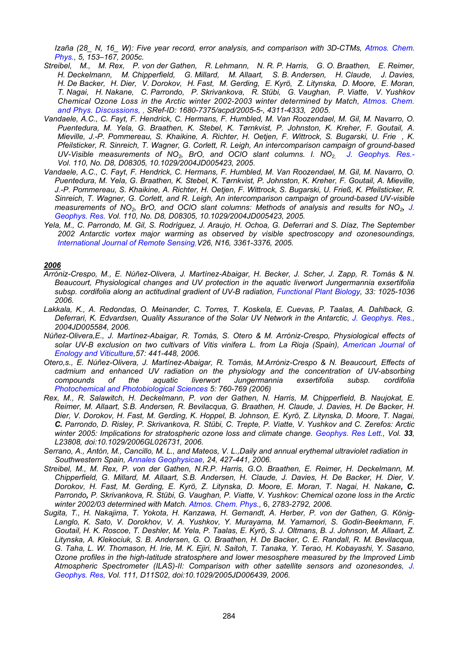*Izaña (28\_ N, 16\_ W): Five year record, error analysis, and comparison with 3D-CTMs, Atmos. Chem. Phys., 5, 153–167, 2005c.* 

- *Streibel, M., M. Rex, P. von der Gathen, R. Lehmann, N. R. P. Harris, G. O. Braathen, E. Reimer, H. Deckelmann, M. Chipperfield, G. Millard, M. Allaart, S. B. Andersen, H. Claude, J. Davies, H. De Backer, H. Dier, V. Dorokov, H. Fast, M. Gerding, E. Kyrö, Z. Litynska, D. Moore, E. Moran, T. Nagai, H. Nakane, C. Parrondo, P. Skrivankova, R. Stübi, G. Vaughan, P. Viatte, V. Yushkov Chemical Ozone Loss in the Arctic winter 2002-2003 winter determined by Match, Atmos. Chem. and Phys. Discussions, , SRef-ID: 1680-7375/acpd/2005-5-, 4311-4333, 2005.*
- *Vandaele, A.C., C. Fayt, F. Hendrick, C. Hermans, F. Humbled, M. Van Roozendael, M. Gil, M. Navarro, O. Puentedura, M. Yela, G. Braathen, K. Stebel, K. Tørnkvist, P. Johnston, K. Kreher, F. Goutail, A. Mieville, J.-P. Pommereau, S. Khaikine, A. Richter, H. Oetjen, F. Wittrock, S. Bugarski, U. Frie, K. Pfeilsticker, R. Sinreich, T. Wagner, G. Corlett, R. Leigh, An intercomparison campaign of ground-based UV-Visible measurements of NO2, BrO, and OClO slant columns. I. NO2, J. Geophys. Res.- Vol. 110, No. D8, D08305, 10.1029/2004JD005423, 2005.*
- *Vandaele, A.C., C. Fayt, F. Hendrick, C. Hermans, F. Humbled, M. Van Roozendael, M. Gil, M. Navarro, O. Puentedura, M. Yela, G. Braathen, K. Stebel, K. Tørnkvist, P. Johnston, K. Kreher, F. Goutail, A. Mieville, J.-P. Pommereau, S. Khaikine, A. Richter, H. Oetjen, F. Wittrock, S. Bugarski, U. Frieß, K. Pfeilsticker, R. Sinreich, T. Wagner, G. Corlett, and R. Leigh, An intercomparison campaign of ground-based UV-visible measurements of NO2, BrO, and OClO slant columns: Methods of analysis and results for NO2, J. Geophys. Res. Vol. 110, No. D8, D08305, 10.1029/2004JD005423, 2005.*
- *Yela, M., C. Parrondo, M. Gil, S. Rodríguez, J. Araujo, H. Ochoa, G. Deferrari and S. Díaz, The September 2002 Antarctic vortex major warming as observed by visible spectroscopy and ozonesoundings, International Journal of Remote Sensing,V26, N16, 3361-3376, 2005.*

#### *2006*

- *Arróniz-Crespo, M., E. Núñez-Olivera, J. Martínez-Abaigar, H. Becker, J. Scher, J. Zapp, R. Tomás & N. Beaucourt, Physiological changes and UV protection in the aquatic liverwort Jungermannia exsertifolia subsp. cordifolia along an actitudinal gradient of UV-B radiation, Functional Plant Biology, 33: 1025-1036 2006.*
- *Lakkala, K., A. Redondas, O. Meinander, C. Torres, T. Koskela, E. Cuevas, P. Taalas, A. Dahlback, G. Deferrari, K. Edvardsen, Quality Assurance of the Solar UV Network in the Antarctic, J. Geophys. Res., 2004JD005584, 2006.*
- *Núñez-Olivera,E., J. Martínez-Abaigar, R. Tomás, S. Otero & M. Arróniz-Crespo, Physiological effects of solar UV-B exclusion on two cultivars of Vitis vinifera L. from La Rioja (Spain), American Journal of Enology and Viticulture,57: 441-448, 2006.*
- *Otero,s., E. Núñez-Olivera, J. Martínez-Abaigar, R. Tomás, M.Arróniz-Crespo & N. Beaucourt, Effects of cadmium and enhanced UV radiation on the physiology and the concentration of UV-absorbing compounds of the aquatic liverwort Jungermannia exsertifolia subsp. cordifolia Photochemical and Photobiological Sciences 5: 760-769 (2006)*
- *Rex, M., R. Salawitch, H. Deckelmann, P. von der Gathen, N. Harris, M. Chipperfield, B. Naujokat, E. Reimer, M. Allaart, S.B. Andersen, R. Bevilacqua, G. Braathen, H. Claude, J. Davies, H. De Backer, H. Dier, V. Dorokov, H. Fast, M. Gerding, K. Hoppel, B. Johnson, E. Kyrö, Z. Litynska, D. Moore, T. Nagai, C. Parrondo, D. Risley, P. Skrivankova, R. Stübi, C. Trepte, P. Viatte, V. Yushkov and C. Zerefos: Arctic*  winter 2005: Implications for stratospheric ozone loss and climate change. Geophys. Res Lett., Vol. 33, *L23808, doi:10.1029/2006GL026731, 2006.*
- *Serrano, A., Antón, M., Cancillo, M. L., and Mateos, V. L.,Daily and annual erythemal ultraviolet radiation in Southwestern Spain, Annales Geophysicae, 24, 427-441, 2006.*
- *Streibel, M., M. Rex, P. von der Gathen, N.R.P. Harris, G.O. Braathen, E. Reimer, H. Deckelmann, M. Chipperfield, G. Millard, M. Allaart, S.B. Andersen, H. Claude, J. Davies, H. De Backer, H. Dier, V. Dorokov, H. Fast, M. Gerding, E. Kyrö, Z. Litynska, D. Moore, E. Moran, T. Nagai, H. Nakane, C. Parrondo, P. Skrivankova, R. Stübi, G. Vaughan, P. Viatte, V. Yushkov: Chemical ozone loss in the Arctic winter 2002/03 determined with Match. Atmos. Chem. Phys.,* 6, *2783-2792, 2006.*
- *Sugita, T., H. Nakajima, T. Yokota, H. Kanzawa, H. Gernandt, A. Herber, P. von der Gathen, G. König-Langlo, K. Sato, V. Dorokhov, V. A. Yushkov, Y. Murayama, M. Yamamori, S. Godin-Beekmann, F. Goutail, H. K. Roscoe, T. Deshler, M. Yela, P. Taalas, E. Kyrö, S. J. Oltmans, B. J. Johnson, M. Allaart, Z. Litynska, A. Klekociuk, S. B. Andersen, G. O. Braathen, H. De Backer, C. E. Randall, R. M. Bevilacqua, G. Taha, L. W. Thomason, H. Irie, M. K. Ejiri, N. Saitoh, T. Tanaka, Y. Terao, H. Kobayashi, Y. Sasano, Ozone profiles in the high-latitude stratosphere and lower mesosphere measured by the Improved Limb Atmospheric Spectrometer (ILAS)-II: Comparison with other satellite sensors and ozonesondes, J. Geophys. Res, Vol. 111, D11S02, doi:10.1029/2005JD006439, 2006.*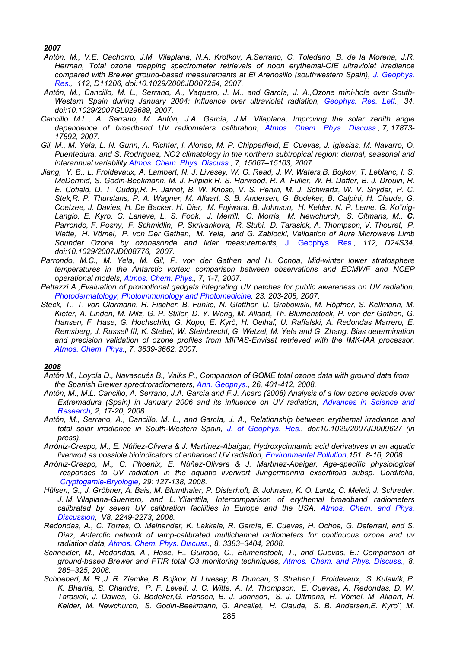#### *2007*

- *Antón, M., V.E. Cachorro, J.M. Vilaplana, N.A. Krotkov, A.Serrano, C. Toledano, B. de la Morena, J.R. Herman, Total ozone mapping spectrometer retrievals of noon erythemal-CIE ultraviolet irradiance compared with Brewer ground-based measurements at El Arenosillo (southwestern Spain), J. Geophys. Res., 112, D11206, doi:10.1029/2006JD007254, 2007.*
- *Antón, M., Cancillo, M. L., Serrano, A., Vaquero, J. M., and García, J. A.,Ozone mini-hole over South-Western Spain during January 2004: Influence over ultraviolet radiation, Geophys. Res. Lett., 34, doi:10.1029/2007GL029689, 2007.*
- *Cancillo M.L., A. Serrano, M. Antón, J.A. García, J.M. Vilaplana, Improving the solar zenith angle dependence of broadband UV radiometers calibration, Atmos. Chem. Phys. Discuss., 7, 17873- 17892, 2007.*
- *Gil, M., M. Yela, L. N. Gunn, A. Richter, I. Alonso, M. P. Chipperfield, E. Cuevas, J. Iglesias, M. Navarro, O. Puentedura, and S. Rodrıguez, NO2 climatology in the northern subtropical region: diurnal, seasonal and interannual variability Atmos. Chem. Phys. Discuss., 7, 15067–15103, 2007.*
- *Jiang, Y. B., L. Froidevaux, A. Lambert, N. J. Livesey, W. G. Read, J. W. Waters,B. Bojkov, T. Leblanc, I. S. McDermid, S. Godin-Beekmann, M. J. Filipiak,R. S. Harwood, R. A. Fuller, W. H. Daffer, B. J. Drouin, R. E. Cofield, D. T. Cuddy,R. F. Jarnot, B. W. Knosp, V. S. Perun, M. J. Schwartz, W. V. Snyder, P. C. Stek,R. P. Thurstans, P. A. Wagner, M. Allaart, S. B. Andersen, G. Bodeker, B. Calpini, H. Claude, G. Coetzee, J. Davies, H. De Backer, H. Dier, M. Fujiwara, B. Johnson, H. Kelder, N. P. Leme, G. Ko¨nig-Langlo, E. Kyro, G. Laneve, L. S. Fook, J. Merrill, G. Morris, M. Newchurch, S. Oltmans, M., C. Parrondo, F. Posny, F. Schmidlin, P. Skrivankova, R. Stubi, D. Tarasick, A. Thompson, V. Thouret, P. Viatte, H. Vömel, P. von Der Gathen, M. Yela, and G. Zablocki, Validation of Aura Microwave Limb Sounder Ozone by ozonesonde and lidar measurements,* J. Geophys. Res*., 112, D24S34, doi:10.1029/2007JD008776, 2007.*
- *Parrondo, M.C., M. Yela, M. Gil, P. von der Gathen and H. Ochoa, Mid-winter lower stratosphere temperatures in the Antarctic vortex: comparison between observations and ECMWF and NCEP operational models, Atmos. Chem. Phys., 7, 1-7, 2007.*
- *Pettazzi A.,Evaluation of promotional gadgets integrating UV patches for public awareness on UV radiation, Photodermatology, Photoimmunology and Photomedicine, 23, 203-208, 2007.*
- *Steck, T., T. von Clarmann, H. Fischer, B. Funke, N. Glatthor, U. Grabowski, M. Höpfner, S. Kellmann, M. Kiefer, A. Linden, M. Milz, G. P. Stiller, D. Y. Wang, M. Allaart, Th. Blumenstock, P. von der Gathen, G. Hansen, F. Hase, G. Hochschild, G. Kopp, E. Kyrö, H. Oelhaf, U. Raffalski, A. Redondas Marrero, E. Remsberg, J. Russell III, K. Stebel, W. Steinbrecht, G. Wetzel, M. Yela and G. Zhang. Bias determination and precision validation of ozone profiles from MIPAS-Envisat retrieved with the IMK-IAA processor. Atmos. Chem. Phys., 7, 3639-3662, 2007.*

#### *2008*

- *Antón M., Loyola D., Navascués B., Valks P., Comparison of GOME total ozone data with ground data from the Spanish Brewer sprectroradiometers, Ann. Geophys., 26, 401-412, 2008.*
- *Antón, M., M.L. Cancillo, A. Serrano, J.A. García and F.J. Acero (2008) Analysis of a low ozone episode over Extremadura (Spain) in January 2006 and its influence on UV radiation, Advances in Science and Research, 2, 17-20, 2008.*
- *Antón, M., Serrano, A., Cancillo, M. L., and García, J. A., Relationship between erythemal irradiance and total solar irradiance in South-Western Spain, J. of Geophys. Res., doi:10.1029/2007JD009627 (in press).*
- *Arróniz-Crespo, M., E. Núñez-Olivera & J. Martínez-Abaigar, Hydroxycinnamic acid derivatives in an aquatic liverwort as possible bioindicators of enhanced UV radiation, Environmental Pollution,151: 8-16, 2008.*
- *Arróniz-Crespo, M., G. Phoenix, E. Núñez-Olivera & J. Martínez-Abaigar, Age-specific physiological responses to UV radiation in the aquatic liverwort Jungermannia exsertifolia subsp. Cordifolia, Cryptogamie-Bryologie, 29: 127-138, 2008.*
- *Hülsen, G., J. Gröbner, A. Bais, M. Blumthaler, P. Disterhoft, B. Johnsen, K. O. Lantz, C. Meleti, J. Schreder, J. M. Vilaplana-Guerrero, and L. Ylianttila, Intercomparison of erythemal broadband radiometers calibrated by seven UV calibration facilities in Europe and the USA, Atmos. Chem. and Phys. Discussion, V8, 2249-2273, 2008.*
- *Redondas, A., C. Torres, O. Meinander, K. Lakkala, R. García, E. Cuevas, H. Ochoa, G. Deferrari, and S. Díaz, Antarctic network of lamp-calibrated multichannel radiometers for continuous ozone and uv radiation data, Atmos. Chem. Phys. Discuss., 8, 3383–3404, 2008.*
- *Schneider, M., Redondas, A., Hase, F., Guirado, C., Blumenstock, T., and Cuevas, E.: Comparison of ground-based Brewer and FTIR total O3 monitoring techniques, Atmos. Chem. and Phys. Discuss., 8, 285–325, 2008.*
- *Schoeberl, M. R.,J. R. Ziemke, B. Bojkov, N. Livesey, B. Duncan, S. Strahan,L. Froidevaux, S. Kulawik, P. K. Bhartia, S. Chandra, P. F. Levelt, J. C. Witte, A. M. Thompson, E. Cuevas, A. Redondas, D. W. Tarasick, J. Davies, G. Bodeker,G. Hansen, B. J. Johnson, S. J. Oltmans, H. Vömel, M. Allaart, H. Kelder, M. Newchurch, S. Godin-Beekmann, G. Ancellet, H. Claude, S. B. Andersen,E. Kyro¨, M.*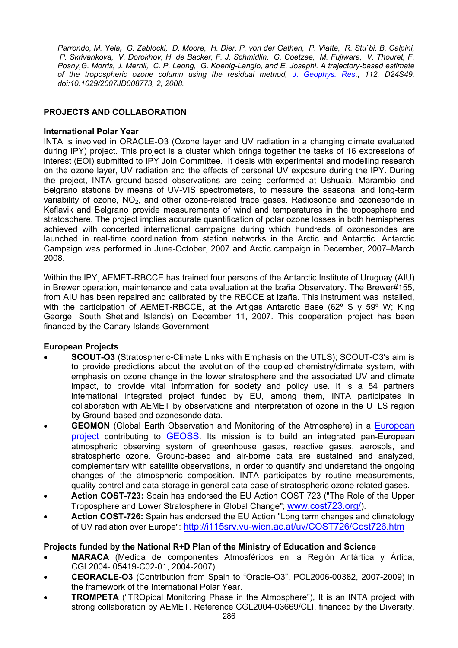*Parrondo, M. Yela, G. Zablocki, D. Moore, H. Dier, P. von der Gathen, P. Viatte, R. Stu¨bi, B. Calpini, P. Skrivankova, V. Dorokhov, H. de Backer, F. J. Schmidlin, G. Coetzee, M. Fujiwara, V. Thouret, F. Posny,G. Morris, J. Merrill, C. P. Leong, G. Koenig-Langlo, and E. Josephl. A trajectory-based estimate of the tropospheric ozone column using the residual method, J*. *Geophys. Res*., *112, D24S49, doi:10.1029/2007JD008773, 2, 2008.* 

## **PROJECTS AND COLLABORATION**

### **International Polar Year**

INTA is involved in ORACLE-O3 (Ozone layer and UV radiation in a changing climate evaluated during IPY) project. This project is a cluster which brings together the tasks of 16 expressions of interest (EOI) submitted to IPY Join Committee. It deals with experimental and modelling research on the ozone layer, UV radiation and the effects of personal UV exposure during the IPY. During the project, INTA ground-based observations are being performed at Ushuaia, Marambio and Belgrano stations by means of UV-VIS spectrometers, to measure the seasonal and long-term variability of ozone,  $NO<sub>2</sub>$ , and other ozone-related trace gases. Radiosonde and ozonesonde in Keflavik and Belgrano provide measurements of wind and temperatures in the troposphere and stratosphere. The project implies accurate quantification of polar ozone losses in both hemispheres achieved with concerted international campaigns during which hundreds of ozonesondes are launched in real-time coordination from station networks in the Arctic and Antarctic. Antarctic Campaign was performed in June-October, 2007 and Arctic campaign in December, 2007–March 2008.

Within the IPY, AEMET-RBCCE has trained four persons of the Antarctic Institute of Uruguay (AIU) in Brewer operation, maintenance and data evaluation at the Izaña Observatory. The Brewer#155, from AIU has been repaired and calibrated by the RBCCE at Izaña. This instrument was installed, with the participation of AEMET-RBCCE, at the Artigas Antarctic Base (62° S y 59° W; King George, South Shetland Islands) on December 11, 2007. This cooperation project has been financed by the Canary Islands Government.

## **European Projects**

- **SCOUT-O3** (Stratospheric-Climate Links with Emphasis on the UTLS); SCOUT-O3's aim is to provide predictions about the evolution of the coupled chemistry/climate system, with emphasis on ozone change in the lower stratosphere and the associated UV and climate impact, to provide vital information for society and policy use. It is a 54 partners international integrated project funded by EU, among them, INTA participates in collaboration with AEMET by observations and interpretation of ozone in the UTLS region by Ground-based and ozonesonde data.
- **GEOMON** (Global Earth Observation and Monitoring of the Atmosphere) in a European [project](http://cordis.europa.eu/fp6/dc/index.cfm?fuseaction=UserSite.FP6HomePage) contributing to **GEOSS**. Its mission is to build an integrated pan-European atmospheric observing system of greenhouse gases, reactive gases, aerosols, and stratospheric ozone. Ground-based and air-borne data are sustained and analyzed, complementary with satellite observations, in order to quantify and understand the ongoing changes of the atmospheric composition. INTA participates by routine measurements, quality control and data storage in general data base of stratospheric ozone related gases.
- **Action COST-723:** Spain has endorsed the EU Action COST 723 ("The Role of the Upper Troposphere and Lower Stratosphere in Global Change"; [www.cost723.org/](http://www.cost723.org/)).
- **Action COST-726:** Spain has endorsed the EU Action "Long term changes and climatology of UV radiation over Europe": <http://i115srv.vu-wien.ac.at/uv/COST726/Cost726.htm>

## **Projects funded by the National R+D Plan of the Ministry of Education and Science**

- **MARACA** (Medida de componentes Atmosféricos en la Región Antártica y Ártica, CGL2004- 05419-C02-01, 2004-2007)
- **CEORACLE-O3** (Contribution from Spain to "Oracle-O3", POL2006-00382, 2007-2009) in the framework of the International Polar Year.
- **TROMPETA** ("TROpical Monitoring Phase in the Atmosphere"), It is an INTA project with strong collaboration by AEMET. Reference CGL2004-03669/CLI, financed by the Diversity,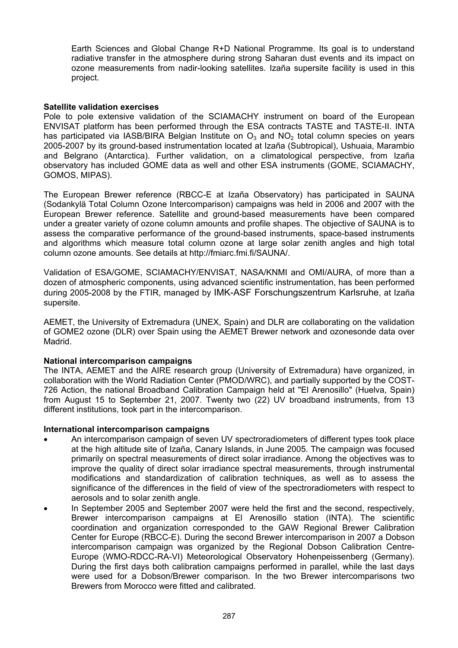Earth Sciences and Global Change R+D National Programme. Its goal is to understand radiative transfer in the atmosphere during strong Saharan dust events and its impact on ozone measurements from nadir-looking satellites. Izaña supersite facility is used in this project.

#### **Satellite validation exercises**

Pole to pole extensive validation of the SCIAMACHY instrument on board of the European ENVISAT platform has been performed through the ESA contracts TASTE and TASTE-II. INTA has participated via IASB/BIRA Belgian Institute on  $O_3$  and NO<sub>2</sub> total column species on years 2005-2007 by its ground-based instrumentation located at Izaña (Subtropical), Ushuaia, Marambio and Belgrano (Antarctica). Further validation, on a climatological perspective, from Izaña observatory has included GOME data as well and other ESA instruments (GOME, SCIAMACHY, GOMOS, MIPAS).

The European Brewer reference (RBCC-E at Izaña Observatory) has participated in SAUNA (Sodankylä Total Column Ozone Intercomparison) campaigns was held in 2006 and 2007 with the European Brewer reference. Satellite and ground-based measurements have been compared under a greater variety of ozone column amounts and profile shapes. The objective of SAUNA is to assess the comparative performance of the ground-based instruments, space-based instruments and algorithms which measure total column ozone at large solar zenith angles and high total column ozone amounts. See details at http://fmiarc.fmi.fi/SAUNA/.

Validation of ESA/GOME, SCIAMACHY/ENVISAT, NASA/KNMI and OMI/AURA, of more than a dozen of atmospheric components, using advanced scientific instrumentation, has been performed during 2005-2008 by the FTIR, managed by IMK-ASF Forschungszentrum Karlsruhe, at Izaña supersite.

AEMET, the University of Extremadura (UNEX, Spain) and DLR are collaborating on the validation of GOME2 ozone (DLR) over Spain using the AEMET Brewer network and ozonesonde data over Madrid.

## **National intercomparison campaigns**

The INTA, AEMET and the AIRE research group (University of Extremadura) have organized, in collaboration with the World Radiation Center (PMOD/WRC), and partially supported by the COST-726 Action, the national Broadband Calibration Campaign held at "El Arenosillo" (Huelva, Spain) from August 15 to September 21, 2007. Twenty two (22) UV broadband instruments, from 13 different institutions, took part in the intercomparison.

#### **International intercomparison campaigns**

- An intercomparison campaign of seven UV spectroradiometers of different types took place at the high altitude site of Izaña, Canary Islands, in June 2005. The campaign was focused primarily on spectral measurements of direct solar irradiance. Among the objectives was to improve the quality of direct solar irradiance spectral measurements, through instrumental modifications and standardization of calibration techniques, as well as to assess the significance of the differences in the field of view of the spectroradiometers with respect to aerosols and to solar zenith angle.
- In September 2005 and September 2007 were held the first and the second, respectively, Brewer intercomparison campaigns at El Arenosillo station (INTA). The scientific coordination and organization corresponded to the GAW Regional Brewer Calibration Center for Europe (RBCC-E). During the second Brewer intercomparison in 2007 a Dobson intercomparison campaign was organized by the Regional Dobson Calibration Centre-Europe (WMO-RDCC-RA-VI) Meteorological Observatory Hohenpeissenberg (Germany). During the first days both calibration campaigns performed in parallel, while the last days were used for a Dobson/Brewer comparison. In the two Brewer intercomparisons two Brewers from Morocco were fitted and calibrated.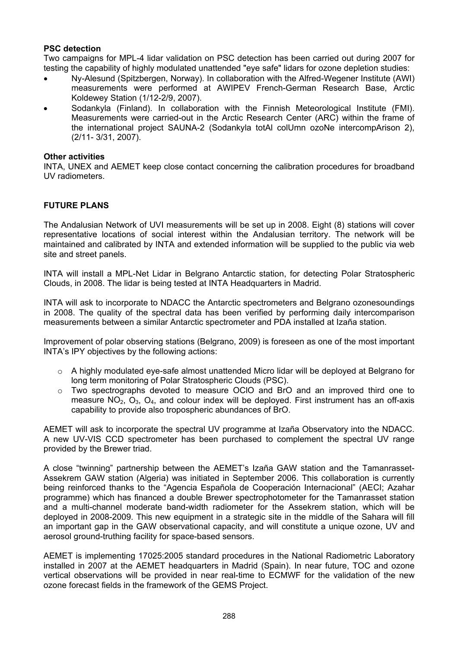## **PSC detection**

Two campaigns for MPL-4 lidar validation on PSC detection has been carried out during 2007 for testing the capability of highly modulated unattended "eye safe" lidars for ozone depletion studies:

- Ny-Alesund (Spitzbergen, Norway). In collaboration with the Alfred-Wegener Institute (AWI) measurements were performed at AWIPEV French-German Research Base, Arctic Koldewey Station (1/12-2/9, 2007).
- Sodankyla (Finland). In collaboration with the Finnish Meteorological Institute (FMI). Measurements were carried-out in the Arctic Research Center (ARC) within the frame of the international project SAUNA-2 (Sodankyla totAl colUmn ozoNe intercompArison 2), (2/11- 3/31, 2007).

### **Other activities**

INTA, UNEX and AEMET keep close contact concerning the calibration procedures for broadband UV radiometers.

## **FUTURE PLANS**

The Andalusian Network of UVI measurements will be set up in 2008. Eight (8) stations will cover representative locations of social interest within the Andalusian territory. The network will be maintained and calibrated by INTA and extended information will be supplied to the public via web site and street panels.

INTA will install a MPL-Net Lidar in Belgrano Antarctic station, for detecting Polar Stratospheric Clouds, in 2008. The lidar is being tested at INTA Headquarters in Madrid.

INTA will ask to incorporate to NDACC the Antarctic spectrometers and Belgrano ozonesoundings in 2008. The quality of the spectral data has been verified by performing daily intercomparison measurements between a similar Antarctic spectrometer and PDA installed at Izaña station.

Improvement of polar observing stations (Belgrano, 2009) is foreseen as one of the most important INTA's IPY objectives by the following actions:

- $\circ$  A highly modulated eye-safe almost unattended Micro lidar will be deployed at Belgrano for long term monitoring of Polar Stratospheric Clouds (PSC).
- $\circ$  Two spectrographs devoted to measure OCIO and BrO and an improved third one to measure  $NO<sub>2</sub>$ ,  $O<sub>3</sub>$ ,  $O<sub>4</sub>$ , and colour index will be deployed. First instrument has an off-axis capability to provide also tropospheric abundances of BrO.

AEMET will ask to incorporate the spectral UV programme at Izaña Observatory into the NDACC. A new UV-VIS CCD spectrometer has been purchased to complement the spectral UV range provided by the Brewer triad.

A close "twinning" partnership between the AEMET's Izaña GAW station and the Tamanrasset-Assekrem GAW station (Algeria) was initiated in September 2006. This collaboration is currently being reinforced thanks to the "Agencia Española de Cooperación Internacional" (AECI; Azahar programme) which has financed a double Brewer spectrophotometer for the Tamanrasset station and a multi-channel moderate band-width radiometer for the Assekrem station, which will be deployed in 2008-2009. This new equipment in a strategic site in the middle of the Sahara will fill an important gap in the GAW observational capacity, and will constitute a unique ozone, UV and aerosol ground-truthing facility for space-based sensors.

AEMET is implementing 17025:2005 standard procedures in the National Radiometric Laboratory installed in 2007 at the AEMET headquarters in Madrid (Spain). In near future, TOC and ozone vertical observations will be provided in near real-time to ECMWF for the validation of the new ozone forecast fields in the framework of the GEMS Project.